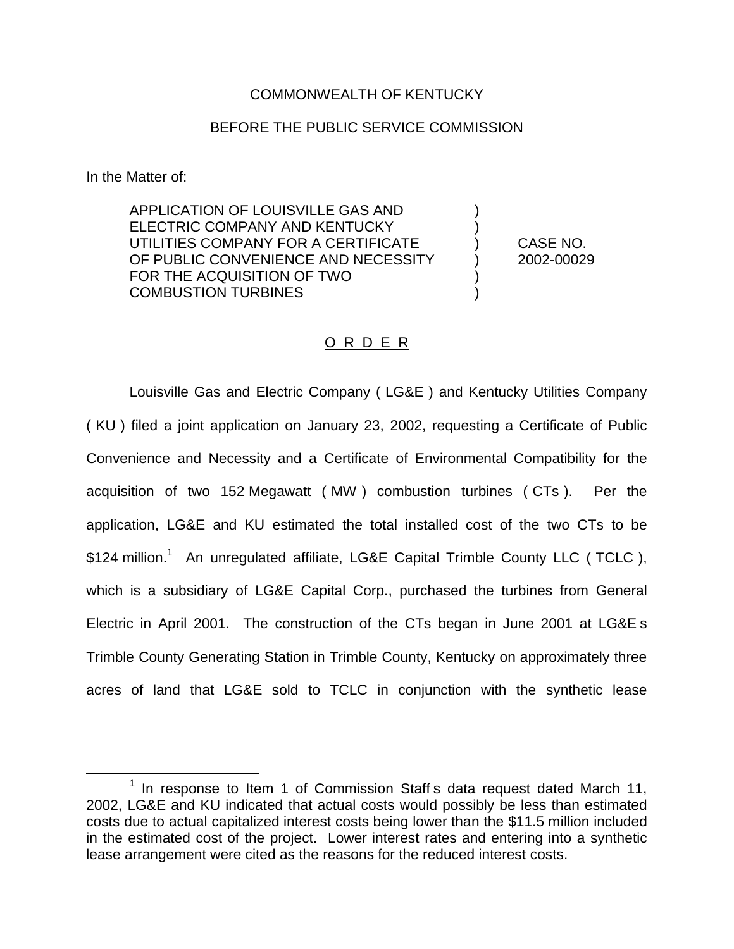## COMMONWEALTH OF KENTUCKY

# BEFORE THE PUBLIC SERVICE COMMISSION

In the Matter of:

APPLICATION OF LOUISVILLE GAS AND ) ELECTRIC COMPANY AND KENTUCKY UTILITIES COMPANY FOR A CERTIFICATE ) CASE NO. OF PUBLIC CONVENIENCE AND NECESSITY (2002-00029) FOR THE ACQUISITION OF TWO COMBUSTION TURBINES )

# O R D E R

Louisville Gas and Electric Company ( LG&E ) and Kentucky Utilities Company ( KU ) filed a joint application on January 23, 2002, requesting a Certificate of Public Convenience and Necessity and a Certificate of Environmental Compatibility for the acquisition of two 152 Megawatt ( MW ) combustion turbines ( CTs ). Per the application, LG&E and KU estimated the total installed cost of the two CTs to be  $$124$  million.<sup>1</sup> An unregulated affiliate, LG&E Capital Trimble County LLC (TCLC), which is a subsidiary of LG&E Capital Corp., purchased the turbines from General Electric in April 2001. The construction of the CTs began in June 2001 at LG&E s Trimble County Generating Station in Trimble County, Kentucky on approximately three acres of land that LG&E sold to TCLC in conjunction with the synthetic lease

 $1$  In response to Item 1 of Commission Staff s data request dated March 11, 2002, LG&E and KU indicated that actual costs would possibly be less than estimated costs due to actual capitalized interest costs being lower than the \$11.5 million included in the estimated cost of the project. Lower interest rates and entering into a synthetic lease arrangement were cited as the reasons for the reduced interest costs.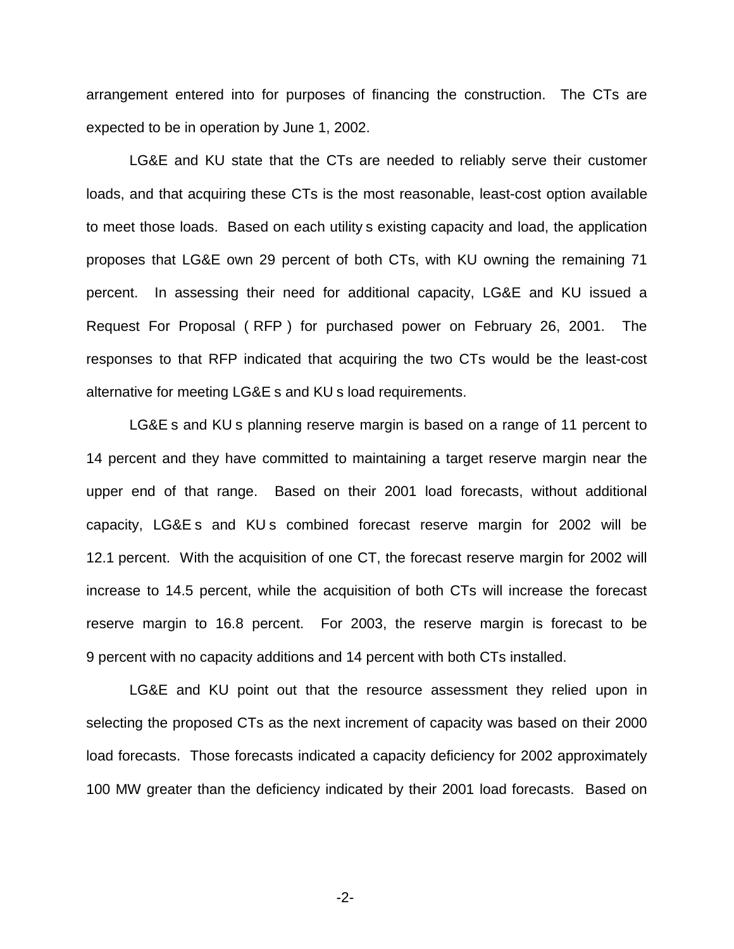arrangement entered into for purposes of financing the construction. The CTs are expected to be in operation by June 1, 2002.

LG&E and KU state that the CTs are needed to reliably serve their customer loads, and that acquiring these CTs is the most reasonable, least-cost option available to meet those loads. Based on each utility s existing capacity and load, the application proposes that LG&E own 29 percent of both CTs, with KU owning the remaining 71 percent. In assessing their need for additional capacity, LG&E and KU issued a Request For Proposal ( RFP ) for purchased power on February 26, 2001. The responses to that RFP indicated that acquiring the two CTs would be the least-cost alternative for meeting LG&E s and KU s load requirements.

LG&E s and KU s planning reserve margin is based on a range of 11 percent to 14 percent and they have committed to maintaining a target reserve margin near the upper end of that range. Based on their 2001 load forecasts, without additional capacity, LG&E s and KU s combined forecast reserve margin for 2002 will be 12.1 percent. With the acquisition of one CT, the forecast reserve margin for 2002 will increase to 14.5 percent, while the acquisition of both CTs will increase the forecast reserve margin to 16.8 percent. For 2003, the reserve margin is forecast to be 9 percent with no capacity additions and 14 percent with both CTs installed.

LG&E and KU point out that the resource assessment they relied upon in selecting the proposed CTs as the next increment of capacity was based on their 2000 load forecasts. Those forecasts indicated a capacity deficiency for 2002 approximately 100 MW greater than the deficiency indicated by their 2001 load forecasts. Based on

-2-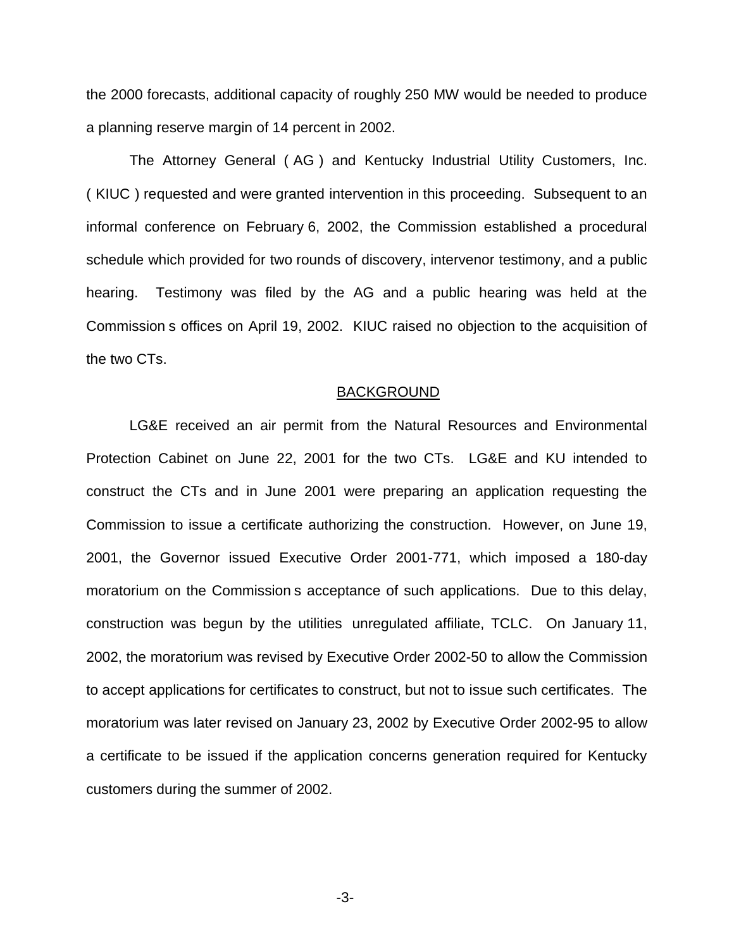the 2000 forecasts, additional capacity of roughly 250 MW would be needed to produce a planning reserve margin of 14 percent in 2002.

The Attorney General ( AG ) and Kentucky Industrial Utility Customers, Inc. ( KIUC ) requested and were granted intervention in this proceeding. Subsequent to an informal conference on February 6, 2002, the Commission established a procedural schedule which provided for two rounds of discovery, intervenor testimony, and a public hearing. Testimony was filed by the AG and a public hearing was held at the Commission s offices on April 19, 2002. KIUC raised no objection to the acquisition of the two CTs.

#### BACKGROUND

LG&E received an air permit from the Natural Resources and Environmental Protection Cabinet on June 22, 2001 for the two CTs. LG&E and KU intended to construct the CTs and in June 2001 were preparing an application requesting the Commission to issue a certificate authorizing the construction. However, on June 19, 2001, the Governor issued Executive Order 2001-771, which imposed a 180-day moratorium on the Commission s acceptance of such applications. Due to this delay, construction was begun by the utilities unregulated affiliate, TCLC. On January 11, 2002, the moratorium was revised by Executive Order 2002-50 to allow the Commission to accept applications for certificates to construct, but not to issue such certificates. The moratorium was later revised on January 23, 2002 by Executive Order 2002-95 to allow a certificate to be issued if the application concerns generation required for Kentucky customers during the summer of 2002.

-3-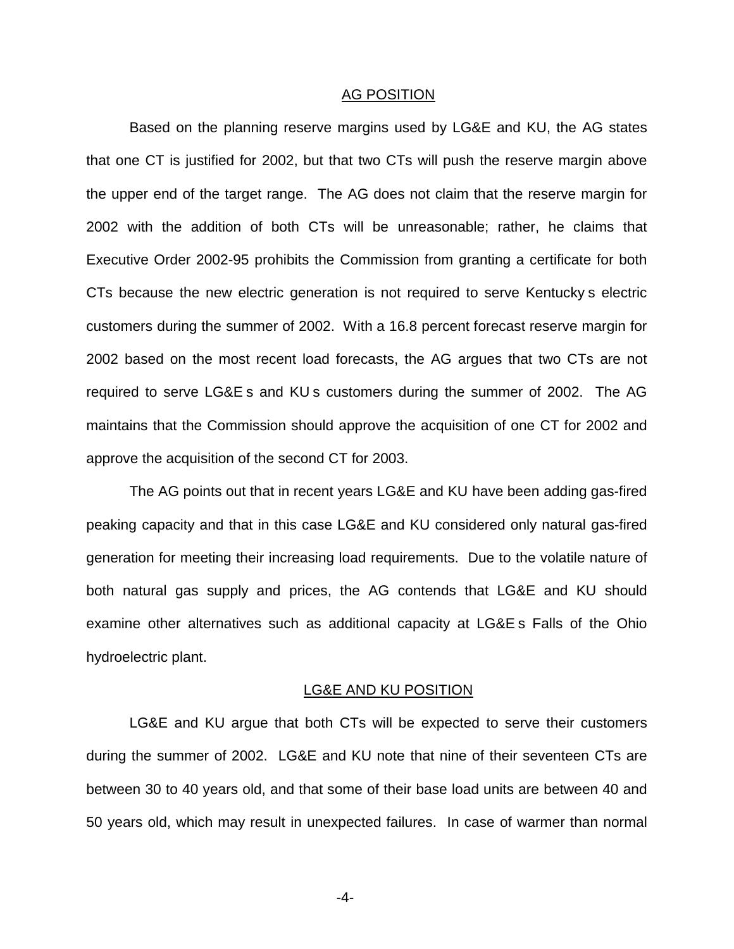## AG POSITION

Based on the planning reserve margins used by LG&E and KU, the AG states that one CT is justified for 2002, but that two CTs will push the reserve margin above the upper end of the target range. The AG does not claim that the reserve margin for 2002 with the addition of both CTs will be unreasonable; rather, he claims that Executive Order 2002-95 prohibits the Commission from granting a certificate for both CTs because the new electric generation is not required to serve Kentucky s electric customers during the summer of 2002. With a 16.8 percent forecast reserve margin for 2002 based on the most recent load forecasts, the AG argues that two CTs are not required to serve LG&E s and KU s customers during the summer of 2002. The AG maintains that the Commission should approve the acquisition of one CT for 2002 and approve the acquisition of the second CT for 2003.

The AG points out that in recent years LG&E and KU have been adding gas-fired peaking capacity and that in this case LG&E and KU considered only natural gas-fired generation for meeting their increasing load requirements. Due to the volatile nature of both natural gas supply and prices, the AG contends that LG&E and KU should examine other alternatives such as additional capacity at LG&E s Falls of the Ohio hydroelectric plant.

#### LG&E AND KU POSITION

LG&E and KU argue that both CTs will be expected to serve their customers during the summer of 2002. LG&E and KU note that nine of their seventeen CTs are between 30 to 40 years old, and that some of their base load units are between 40 and 50 years old, which may result in unexpected failures. In case of warmer than normal

-4-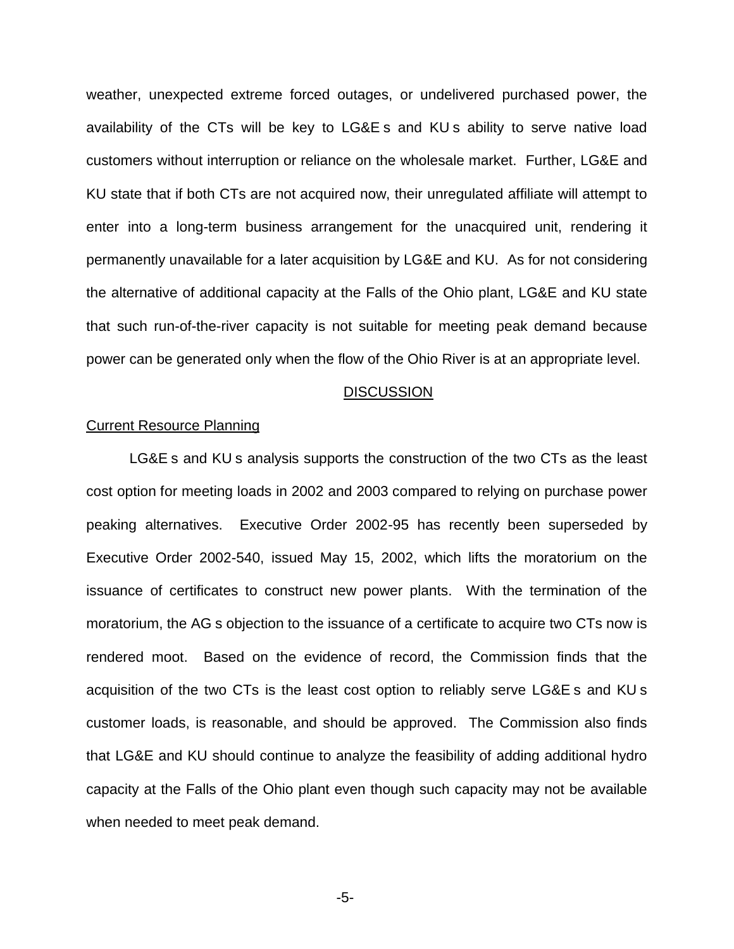weather, unexpected extreme forced outages, or undelivered purchased power, the availability of the CTs will be key to LG&E s and KU s ability to serve native load customers without interruption or reliance on the wholesale market. Further, LG&E and KU state that if both CTs are not acquired now, their unregulated affiliate will attempt to enter into a long-term business arrangement for the unacquired unit, rendering it permanently unavailable for a later acquisition by LG&E and KU. As for not considering the alternative of additional capacity at the Falls of the Ohio plant, LG&E and KU state that such run-of-the-river capacity is not suitable for meeting peak demand because power can be generated only when the flow of the Ohio River is at an appropriate level.

#### **DISCUSSION**

## Current Resource Planning

LG&E s and KU s analysis supports the construction of the two CTs as the least cost option for meeting loads in 2002 and 2003 compared to relying on purchase power peaking alternatives. Executive Order 2002-95 has recently been superseded by Executive Order 2002-540, issued May 15, 2002, which lifts the moratorium on the issuance of certificates to construct new power plants. With the termination of the moratorium, the AG s objection to the issuance of a certificate to acquire two CTs now is rendered moot. Based on the evidence of record, the Commission finds that the acquisition of the two CTs is the least cost option to reliably serve LG&E s and KU s customer loads, is reasonable, and should be approved. The Commission also finds that LG&E and KU should continue to analyze the feasibility of adding additional hydro capacity at the Falls of the Ohio plant even though such capacity may not be available when needed to meet peak demand.

-5-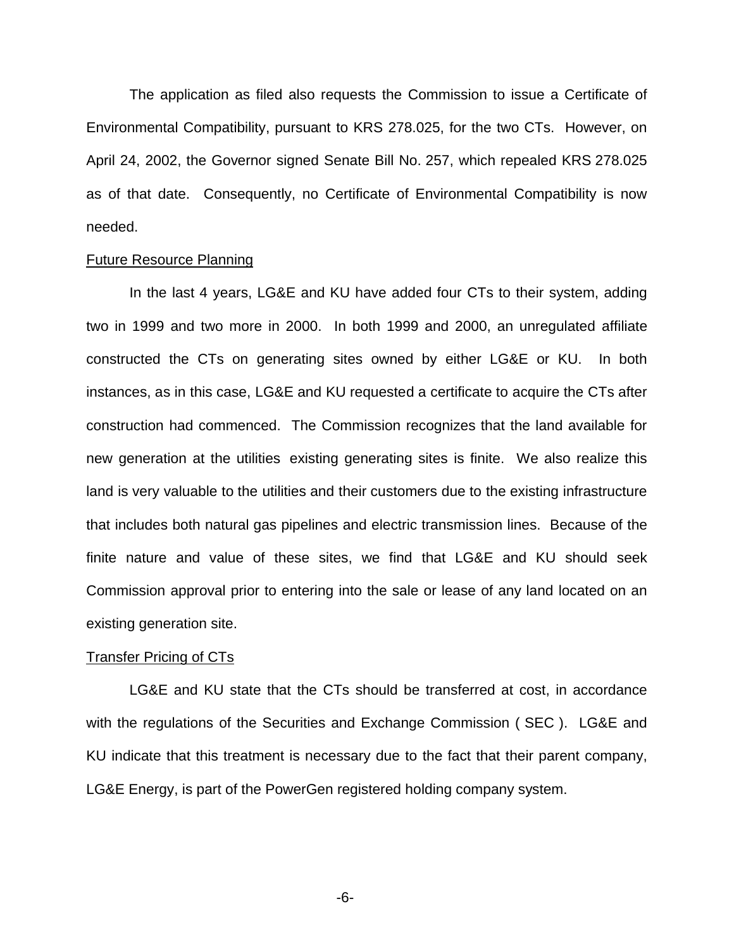The application as filed also requests the Commission to issue a Certificate of Environmental Compatibility, pursuant to KRS 278.025, for the two CTs. However, on April 24, 2002, the Governor signed Senate Bill No. 257, which repealed KRS 278.025 as of that date. Consequently, no Certificate of Environmental Compatibility is now needed.

## Future Resource Planning

In the last 4 years, LG&E and KU have added four CTs to their system, adding two in 1999 and two more in 2000. In both 1999 and 2000, an unregulated affiliate constructed the CTs on generating sites owned by either LG&E or KU. In both instances, as in this case, LG&E and KU requested a certificate to acquire the CTs after construction had commenced. The Commission recognizes that the land available for new generation at the utilities existing generating sites is finite. We also realize this land is very valuable to the utilities and their customers due to the existing infrastructure that includes both natural gas pipelines and electric transmission lines. Because of the finite nature and value of these sites, we find that LG&E and KU should seek Commission approval prior to entering into the sale or lease of any land located on an existing generation site.

## **Transfer Pricing of CTs**

LG&E and KU state that the CTs should be transferred at cost, in accordance with the regulations of the Securities and Exchange Commission ( SEC ). LG&E and KU indicate that this treatment is necessary due to the fact that their parent company, LG&E Energy, is part of the PowerGen registered holding company system.

-6-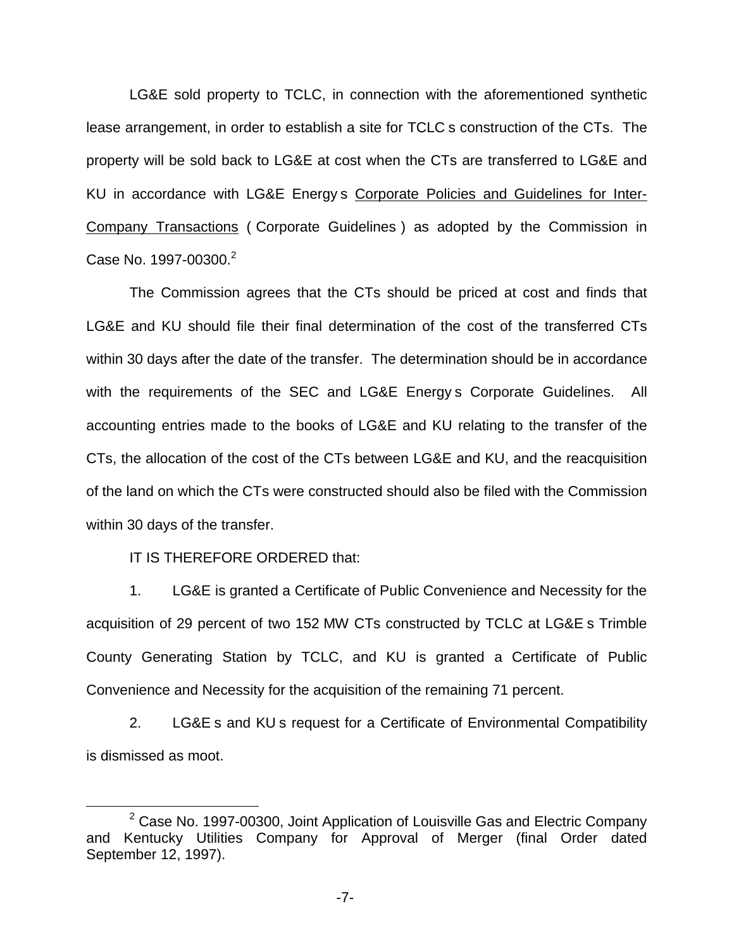LG&E sold property to TCLC, in connection with the aforementioned synthetic lease arrangement, in order to establish a site for TCLC s construction of the CTs. The property will be sold back to LG&E at cost when the CTs are transferred to LG&E and KU in accordance with LG&E Energy s Corporate Policies and Guidelines for Inter-Company Transactions ( Corporate Guidelines ) as adopted by the Commission in Case No. 1997-00300.<sup>2</sup>

The Commission agrees that the CTs should be priced at cost and finds that LG&E and KU should file their final determination of the cost of the transferred CTs within 30 days after the date of the transfer. The determination should be in accordance with the requirements of the SEC and LG&E Energy s Corporate Guidelines. All accounting entries made to the books of LG&E and KU relating to the transfer of the CTs, the allocation of the cost of the CTs between LG&E and KU, and the reacquisition of the land on which the CTs were constructed should also be filed with the Commission within 30 days of the transfer.

IT IS THEREFORE ORDERED that:

1. LG&E is granted a Certificate of Public Convenience and Necessity for the acquisition of 29 percent of two 152 MW CTs constructed by TCLC at LG&E s Trimble County Generating Station by TCLC, and KU is granted a Certificate of Public Convenience and Necessity for the acquisition of the remaining 71 percent.

2. LG&E s and KU s request for a Certificate of Environmental Compatibility is dismissed as moot.

 $2$  Case No. 1997-00300, Joint Application of Louisville Gas and Electric Company and Kentucky Utilities Company for Approval of Merger (final Order dated September 12, 1997).